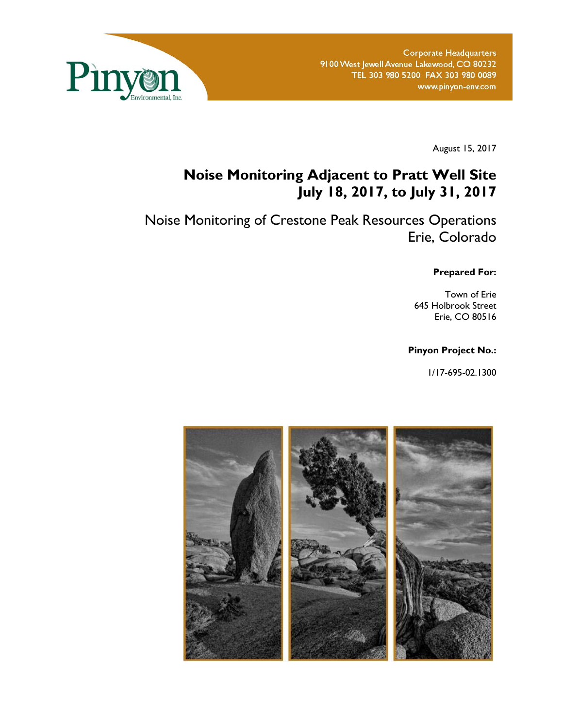

August 15, 2017

# **Noise Monitoring Adjacent to Pratt Well Site July 18, 2017, to July 31, 2017**

Noise Monitoring of Crestone Peak Resources Operations Erie, Colorado

**Prepared For:** 

Town of Erie 645 Holbrook Street Erie, CO 80516

### **Pinyon Project No.:**

1/17-695-02.1300

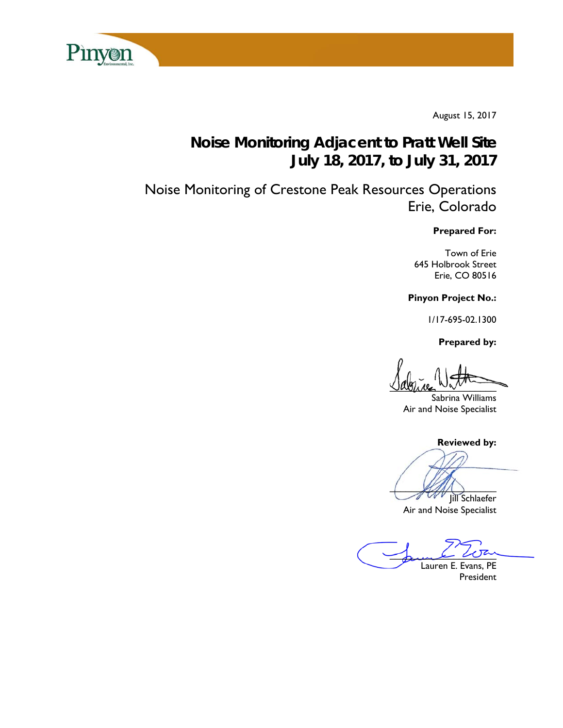

August 15, 2017

# **Noise Monitoring Adjacent to Pratt Well Site July 18, 2017, to July 31, 2017**

Noise Monitoring of Crestone Peak Resources Operations Erie, Colorado

### **Prepared For:**

Town of Erie 645 Holbrook Street Erie, CO 80516

**Pinyon Project No.:** 

1/17-695-02.1300

 **Prepared by:** 

 $\sqrt{2}$ 

Sabrina Williams Air and Noise Specialist

**Reviewed by:**

 $\mathcal{L}(\mathcal{U})$ 

Jill Schlaefer Air and Noise Specialist

Jame War Lauren E. Evans, PE

President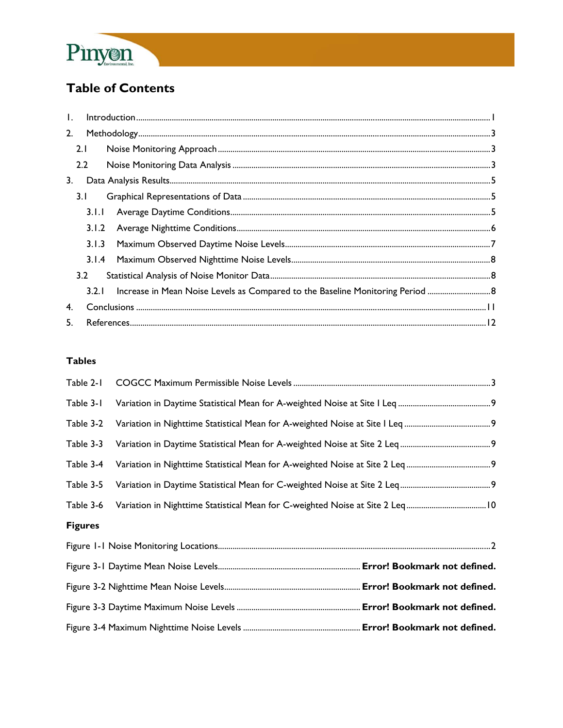

# **Table of Contents**

| $\mathbf{L}$ |       | $\small \textsf{Introduction} \textcolor{red}{\texttt{}} \textcolor{blue}{\texttt{}} \textcolor{blue}{\texttt{}} \textcolor{blue}{\texttt{}} \textcolor{blue}{\texttt{}} \textcolor{blue}{\texttt{}} \textcolor{blue}{\texttt{}} \textcolor{blue}{\texttt{}} \textcolor{blue}{\texttt{}} \textcolor{blue}{\texttt{}} \textcolor{blue}{\texttt{}} \textcolor{blue}{\texttt{}} \textcolor{blue}{\texttt{}} \textcolor{blue}{\texttt{}} \textcolor{blue}{\texttt{}} \textcolor{blue}{\texttt{}} \textcolor{blue}{\texttt{}} \textcolor{blue}{\text$ |  |
|--------------|-------|--------------------------------------------------------------------------------------------------------------------------------------------------------------------------------------------------------------------------------------------------------------------------------------------------------------------------------------------------------------------------------------------------------------------------------------------------------------------------------------------------------------------------------------------------|--|
| 2.           |       |                                                                                                                                                                                                                                                                                                                                                                                                                                                                                                                                                  |  |
|              | 2.1   |                                                                                                                                                                                                                                                                                                                                                                                                                                                                                                                                                  |  |
|              | 2.2   |                                                                                                                                                                                                                                                                                                                                                                                                                                                                                                                                                  |  |
| 3.           |       |                                                                                                                                                                                                                                                                                                                                                                                                                                                                                                                                                  |  |
|              | 3.1   |                                                                                                                                                                                                                                                                                                                                                                                                                                                                                                                                                  |  |
|              | 3.1.1 |                                                                                                                                                                                                                                                                                                                                                                                                                                                                                                                                                  |  |
|              | 3.1.2 |                                                                                                                                                                                                                                                                                                                                                                                                                                                                                                                                                  |  |
|              | 3.1.3 |                                                                                                                                                                                                                                                                                                                                                                                                                                                                                                                                                  |  |
|              | 3.1.4 |                                                                                                                                                                                                                                                                                                                                                                                                                                                                                                                                                  |  |
|              | 3.2   |                                                                                                                                                                                                                                                                                                                                                                                                                                                                                                                                                  |  |
|              |       |                                                                                                                                                                                                                                                                                                                                                                                                                                                                                                                                                  |  |
| 4.           |       |                                                                                                                                                                                                                                                                                                                                                                                                                                                                                                                                                  |  |
| 5.           |       |                                                                                                                                                                                                                                                                                                                                                                                                                                                                                                                                                  |  |

## **Tables**

| Table 2-1      |  |
|----------------|--|
| Table 3-1      |  |
| Table 3-2      |  |
| Table 3-3      |  |
| Table 3-4      |  |
| Table 3-5      |  |
| Table 3-6      |  |
| <b>Figures</b> |  |
|                |  |
|                |  |
|                |  |
|                |  |
|                |  |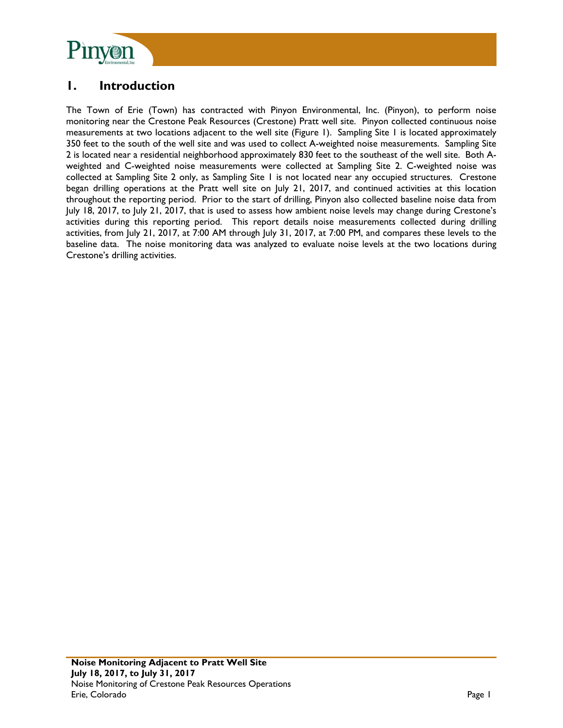

## **1. Introduction**

The Town of Erie (Town) has contracted with Pinyon Environmental, Inc. (Pinyon), to perform noise monitoring near the Crestone Peak Resources (Crestone) Pratt well site. Pinyon collected continuous noise measurements at two locations adjacent to the well site (Figure 1). Sampling Site 1 is located approximately 350 feet to the south of the well site and was used to collect A-weighted noise measurements. Sampling Site 2 is located near a residential neighborhood approximately 830 feet to the southeast of the well site. Both Aweighted and C-weighted noise measurements were collected at Sampling Site 2. C-weighted noise was collected at Sampling Site 2 only, as Sampling Site 1 is not located near any occupied structures. Crestone began drilling operations at the Pratt well site on July 21, 2017, and continued activities at this location throughout the reporting period. Prior to the start of drilling, Pinyon also collected baseline noise data from July 18, 2017, to July 21, 2017, that is used to assess how ambient noise levels may change during Crestone's activities during this reporting period. This report details noise measurements collected during drilling activities, from July 21, 2017, at 7:00 AM through July 31, 2017, at 7:00 PM, and compares these levels to the baseline data. The noise monitoring data was analyzed to evaluate noise levels at the two locations during Crestone's drilling activities.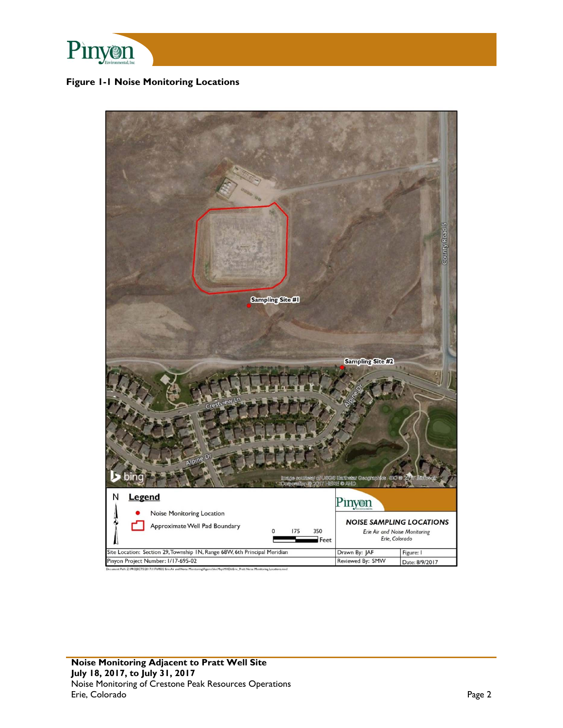

### **Figure 1-1 Noise Monitoring Locations**

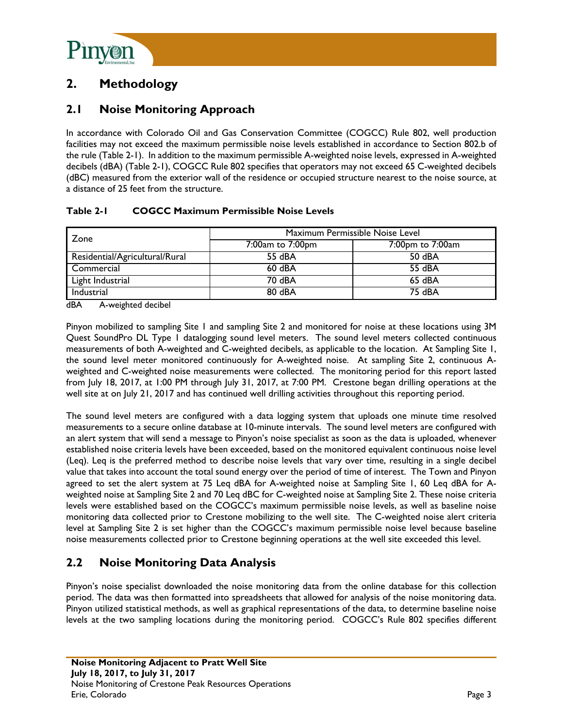

## **2. Methodology**

## **2.1 Noise Monitoring Approach**

In accordance with Colorado Oil and Gas Conservation Committee (COGCC) Rule 802, well production facilities may not exceed the maximum permissible noise levels established in accordance to Section 802.b of the rule (Table 2-1). In addition to the maximum permissible A-weighted noise levels, expressed in A-weighted decibels (dBA) (Table 2-1), COGCC Rule 802 specifies that operators may not exceed 65 C-weighted decibels (dBC) measured from the exterior wall of the residence or occupied structure nearest to the noise source, at a distance of 25 feet from the structure.

### **Table 2-1 COGCC Maximum Permissible Noise Levels**

| Zone                           | Maximum Permissible Noise Level |                  |  |  |
|--------------------------------|---------------------------------|------------------|--|--|
|                                | 7:00am to 7:00pm                | 7:00pm to 7:00am |  |  |
| Residential/Agricultural/Rural | 55 dBA                          | 50 dBA           |  |  |
| Commercial                     | $60$ dBA                        | 55 dBA           |  |  |
| Light Industrial               | 70 dBA                          | 65 dBA           |  |  |
| Industrial                     | 80 dBA                          | 75 dBA           |  |  |

dBA A-weighted decibel

Pinyon mobilized to sampling Site 1 and sampling Site 2 and monitored for noise at these locations using 3M Quest SoundPro DL Type 1 datalogging sound level meters. The sound level meters collected continuous measurements of both A-weighted and C-weighted decibels, as applicable to the location. At Sampling Site 1, the sound level meter monitored continuously for A-weighted noise. At sampling Site 2, continuous Aweighted and C-weighted noise measurements were collected. The monitoring period for this report lasted from July 18, 2017, at 1:00 PM through July 31, 2017, at 7:00 PM. Crestone began drilling operations at the well site at on July 21, 2017 and has continued well drilling activities throughout this reporting period.

The sound level meters are configured with a data logging system that uploads one minute time resolved measurements to a secure online database at 10-minute intervals. The sound level meters are configured with an alert system that will send a message to Pinyon's noise specialist as soon as the data is uploaded, whenever established noise criteria levels have been exceeded, based on the monitored equivalent continuous noise level (Leq). Leq is the preferred method to describe noise levels that vary over time, resulting in a single decibel value that takes into account the total sound energy over the period of time of interest. The Town and Pinyon agreed to set the alert system at 75 Leq dBA for A-weighted noise at Sampling Site 1, 60 Leq dBA for Aweighted noise at Sampling Site 2 and 70 Leq dBC for C-weighted noise at Sampling Site 2. These noise criteria levels were established based on the COGCC's maximum permissible noise levels, as well as baseline noise monitoring data collected prior to Crestone mobilizing to the well site. The C-weighted noise alert criteria level at Sampling Site 2 is set higher than the COGCC's maximum permissible noise level because baseline noise measurements collected prior to Crestone beginning operations at the well site exceeded this level.

## **2.2 Noise Monitoring Data Analysis**

Pinyon's noise specialist downloaded the noise monitoring data from the online database for this collection period. The data was then formatted into spreadsheets that allowed for analysis of the noise monitoring data. Pinyon utilized statistical methods, as well as graphical representations of the data, to determine baseline noise levels at the two sampling locations during the monitoring period. COGCC's Rule 802 specifies different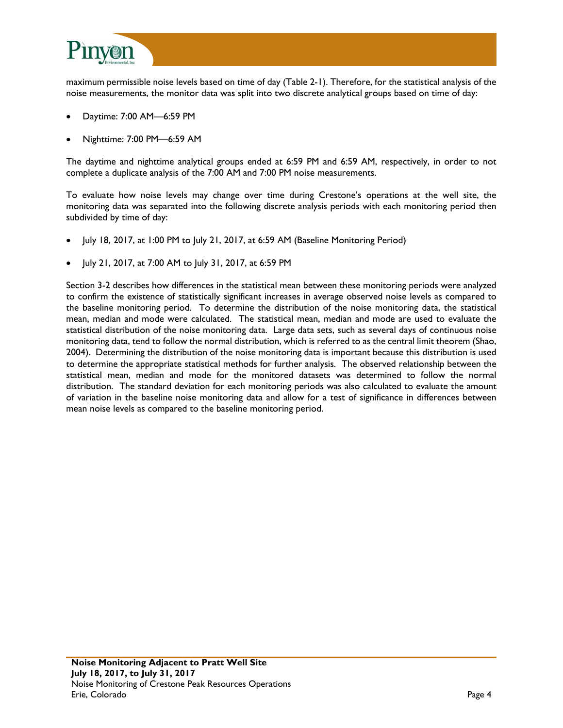

maximum permissible noise levels based on time of day (Table 2-1). Therefore, for the statistical analysis of the noise measurements, the monitor data was split into two discrete analytical groups based on time of day:

- Daytime: 7:00 AM—6:59 PM
- Nighttime: 7:00 PM—6:59 AM

The daytime and nighttime analytical groups ended at 6:59 PM and 6:59 AM, respectively, in order to not complete a duplicate analysis of the 7:00 AM and 7:00 PM noise measurements.

To evaluate how noise levels may change over time during Crestone's operations at the well site, the monitoring data was separated into the following discrete analysis periods with each monitoring period then subdivided by time of day:

- July 18, 2017, at 1:00 PM to July 21, 2017, at 6:59 AM (Baseline Monitoring Period)
- July 21, 2017, at 7:00 AM to July 31, 2017, at 6:59 PM

Section 3-2 describes how differences in the statistical mean between these monitoring periods were analyzed to confirm the existence of statistically significant increases in average observed noise levels as compared to the baseline monitoring period. To determine the distribution of the noise monitoring data, the statistical mean, median and mode were calculated. The statistical mean, median and mode are used to evaluate the statistical distribution of the noise monitoring data. Large data sets, such as several days of continuous noise monitoring data, tend to follow the normal distribution, which is referred to as the central limit theorem (Shao, 2004). Determining the distribution of the noise monitoring data is important because this distribution is used to determine the appropriate statistical methods for further analysis. The observed relationship between the statistical mean, median and mode for the monitored datasets was determined to follow the normal distribution. The standard deviation for each monitoring periods was also calculated to evaluate the amount of variation in the baseline noise monitoring data and allow for a test of significance in differences between mean noise levels as compared to the baseline monitoring period.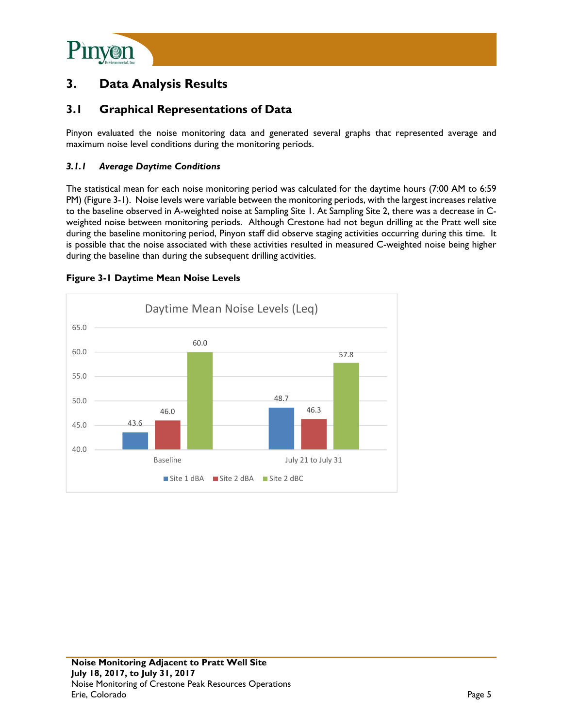

## **3. Data Analysis Results**

## **3.1 Graphical Representations of Data**

Pinyon evaluated the noise monitoring data and generated several graphs that represented average and maximum noise level conditions during the monitoring periods.

### *3.1.1 Average Daytime Conditions*

The statistical mean for each noise monitoring period was calculated for the daytime hours (7:00 AM to 6:59 PM) (Figure 3-1). Noise levels were variable between the monitoring periods, with the largest increases relative to the baseline observed in A-weighted noise at Sampling Site 1. At Sampling Site 2, there was a decrease in Cweighted noise between monitoring periods. Although Crestone had not begun drilling at the Pratt well site during the baseline monitoring period, Pinyon staff did observe staging activities occurring during this time. It is possible that the noise associated with these activities resulted in measured C-weighted noise being higher during the baseline than during the subsequent drilling activities.



#### **Figure 3-1 Daytime Mean Noise Levels**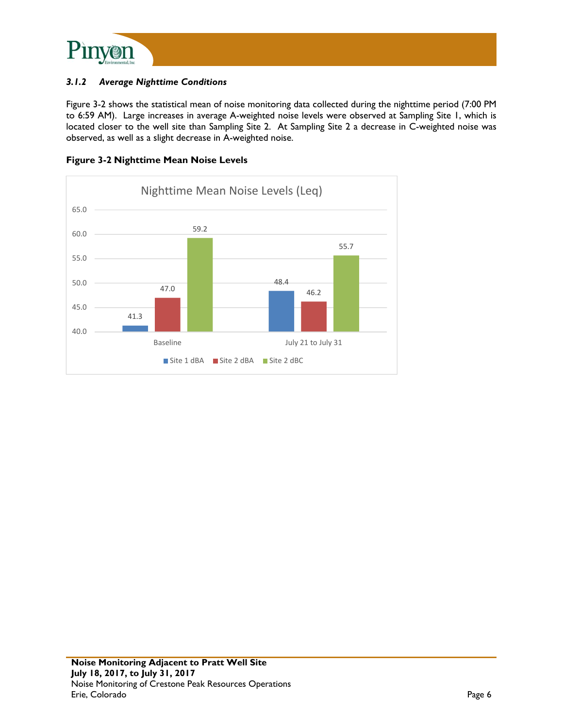

### *3.1.2 Average Nighttime Conditions*

Figure 3-2 shows the statistical mean of noise monitoring data collected during the nighttime period (7:00 PM to 6:59 AM). Large increases in average A-weighted noise levels were observed at Sampling Site 1, which is located closer to the well site than Sampling Site 2. At Sampling Site 2 a decrease in C-weighted noise was observed, as well as a slight decrease in A-weighted noise.



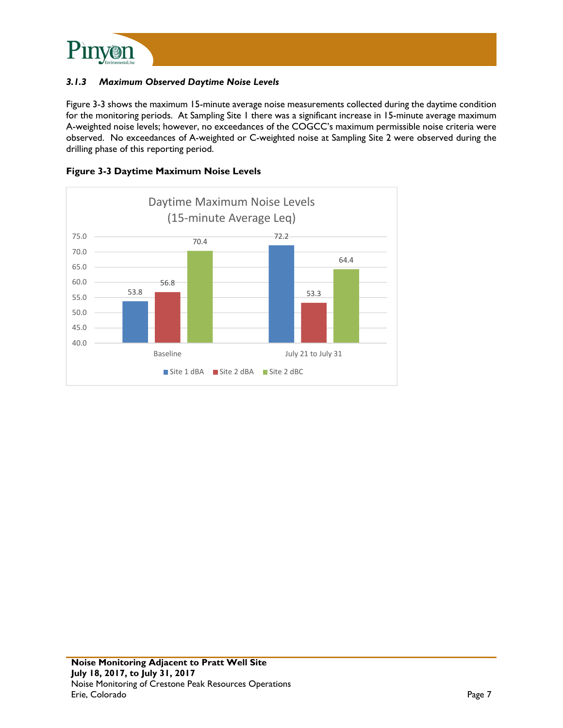

### *3.1.3 Maximum Observed Daytime Noise Levels*

Figure 3-3 shows the maximum 15-minute average noise measurements collected during the daytime condition for the monitoring periods. At Sampling Site 1 there was a significant increase in 15-minute average maximum A-weighted noise levels; however, no exceedances of the COGCC's maximum permissible noise criteria were observed. No exceedances of A-weighted or C-weighted noise at Sampling Site 2 were observed during the drilling phase of this reporting period.



**Figure 3-3 Daytime Maximum Noise Levels**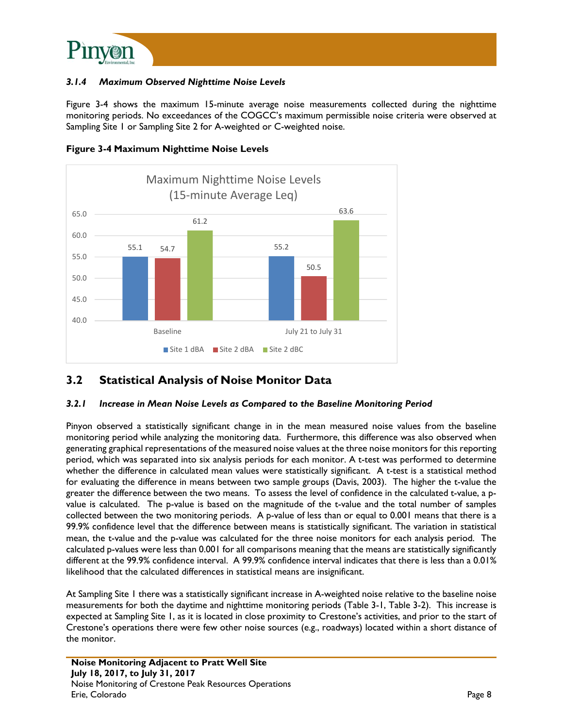

### *3.1.4 Maximum Observed Nighttime Noise Levels*

Figure 3-4 shows the maximum 15-minute average noise measurements collected during the nighttime monitoring periods. No exceedances of the COGCC's maximum permissible noise criteria were observed at Sampling Site 1 or Sampling Site 2 for A-weighted or C-weighted noise.





## **3.2 Statistical Analysis of Noise Monitor Data**

### *3.2.1 Increase in Mean Noise Levels as Compared to the Baseline Monitoring Period*

Pinyon observed a statistically significant change in in the mean measured noise values from the baseline monitoring period while analyzing the monitoring data. Furthermore, this difference was also observed when generating graphical representations of the measured noise values at the three noise monitors for this reporting period, which was separated into six analysis periods for each monitor. A t-test was performed to determine whether the difference in calculated mean values were statistically significant. A t-test is a statistical method for evaluating the difference in means between two sample groups (Davis, 2003). The higher the t-value the greater the difference between the two means. To assess the level of confidence in the calculated t-value, a pvalue is calculated. The p-value is based on the magnitude of the t-value and the total number of samples collected between the two monitoring periods. A p-value of less than or equal to 0.001 means that there is a 99.9% confidence level that the difference between means is statistically significant. The variation in statistical mean, the t-value and the p-value was calculated for the three noise monitors for each analysis period. The calculated p-values were less than 0.001 for all comparisons meaning that the means are statistically significantly different at the 99.9% confidence interval. A 99.9% confidence interval indicates that there is less than a 0.01% likelihood that the calculated differences in statistical means are insignificant.

At Sampling Site 1 there was a statistically significant increase in A-weighted noise relative to the baseline noise measurements for both the daytime and nighttime monitoring periods (Table 3-1, Table 3-2). This increase is expected at Sampling Site 1, as it is located in close proximity to Crestone's activities, and prior to the start of Crestone's operations there were few other noise sources (e.g., roadways) located within a short distance of the monitor.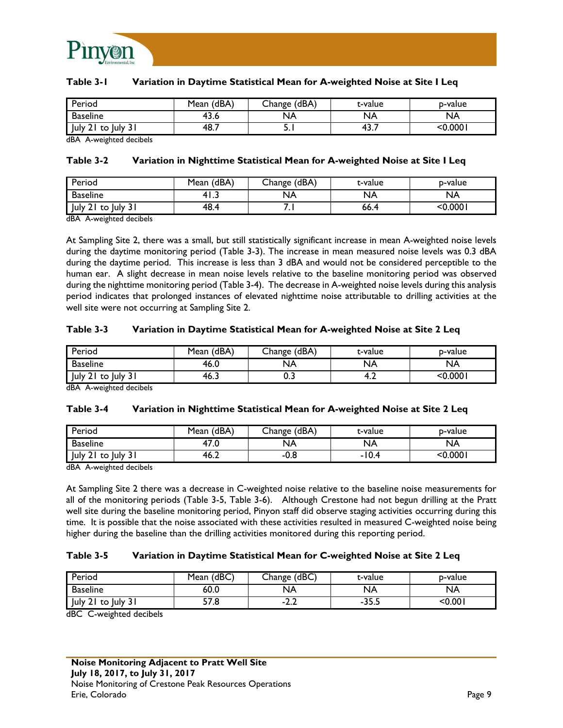

#### **Table 3-1 Variation in Daytime Statistical Mean for A-weighted Noise at Site I Leq**

| Period                                 | (dBA)<br>Mean | (dBA,<br>Change ' | t-value   | p-value |
|----------------------------------------|---------------|-------------------|-----------|---------|
| Baseline                               | 43.6          | NA                | NA        | NA      |
| $ $ July $2^{\circ}$<br>to luly<br>ا پ | 48.7          | <b></b>           | ∽<br>TJ., | <0.0001 |

dBA A-weighted decibels

#### **Table 3-2 Variation in Nighttime Statistical Mean for A-weighted Noise at Site I Leq**

| Period                                   | Mean (dBA) | Change (dBA) | t-value     | b-value |
|------------------------------------------|------------|--------------|-------------|---------|
| <b>Baseline</b>                          | د.41       | NА           | <b>NA</b>   | NA      |
| <b>July</b><br>luly.<br>to<br>ا د<br>Z I | 48.4       | . .          | <b>66.4</b> | ا 000.  |

dBA A-weighted decibels

At Sampling Site 2, there was a small, but still statistically significant increase in mean A-weighted noise levels during the daytime monitoring period (Table 3-3). The increase in mean measured noise levels was 0.3 dBA during the daytime period. This increase is less than 3 dBA and would not be considered perceptible to the human ear. A slight decrease in mean noise levels relative to the baseline monitoring period was observed during the nighttime monitoring period (Table 3-4). The decrease in A-weighted noise levels during this analysis period indicates that prolonged instances of elevated nighttime noise attributable to drilling activities at the well site were not occurring at Sampling Site 2.

#### **Table 3-3 Variation in Daytime Statistical Mean for A-weighted Noise at Site 2 Leq**

| Period                  | (dBA)<br>Mean | Change (dBA) | t-value | p-value    |
|-------------------------|---------------|--------------|---------|------------|
| <b>Baseline</b>         | 46.0          | <b>NA</b>    | NA      | NA         |
| July 21<br>, luly<br>to | 46.ა          | v.J          | т.∠     | $<$ 0.0001 |

dBA A-weighted decibels

#### **Table 3-4 Variation in Nighttime Statistical Mean for A-weighted Noise at Site 2 Leq**

| Period               | Mean (dBA) | Change (dBA) | t-value | b-value   |
|----------------------|------------|--------------|---------|-----------|
| <b>Baseline</b>      | 47.U       | NA           | NA      | <b>NA</b> |
| uly 2 <br>to July 31 | 46.∠       | -0.8         | -10.4   | $<$ 0.000 |

dBA A-weighted decibels

At Sampling Site 2 there was a decrease in C-weighted noise relative to the baseline noise measurements for all of the monitoring periods (Table 3-5, Table 3-6). Although Crestone had not begun drilling at the Pratt well site during the baseline monitoring period, Pinyon staff did observe staging activities occurring during this time. It is possible that the noise associated with these activities resulted in measured C-weighted noise being higher during the baseline than the drilling activities monitored during this reporting period.

#### **Table 3-5 Variation in Daytime Statistical Mean for C-weighted Noise at Site 2 Leq**

| Period                                       | (dBC)<br>Mean     | Change (dBC) | t-value | p-value |
|----------------------------------------------|-------------------|--------------|---------|---------|
| <b>Baseline</b>                              | 60.0              | NA           | NA      | NA.     |
| <b>July</b><br>July 31<br>to<br>* 4 L<br>ا د | <b>F7</b><br>57.8 | -4.L         |         | <0.00   |

dBC C-weighted decibels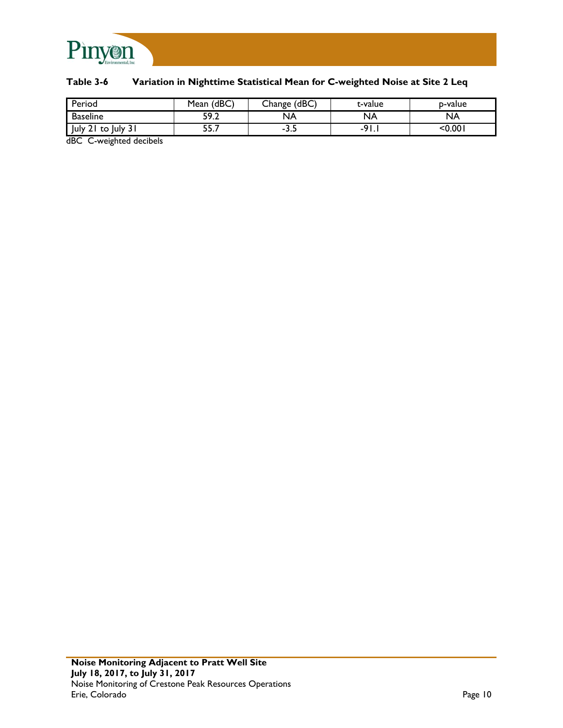

### **Table 3-6 Variation in Nighttime Statistical Mean for C-weighted Noise at Site 2 Leq**

| Period                   | Mean (dBC) | Change (dBC) | t-value       | p-value |
|--------------------------|------------|--------------|---------------|---------|
| <b>Baseline</b>          | 59.2       | NA           | <b>NA</b>     | NA      |
| July 21<br>to luly<br>эı | 55.7       | ـ.د-         | $\Omega$<br>- | <0.00   |

dBC C-weighted decibels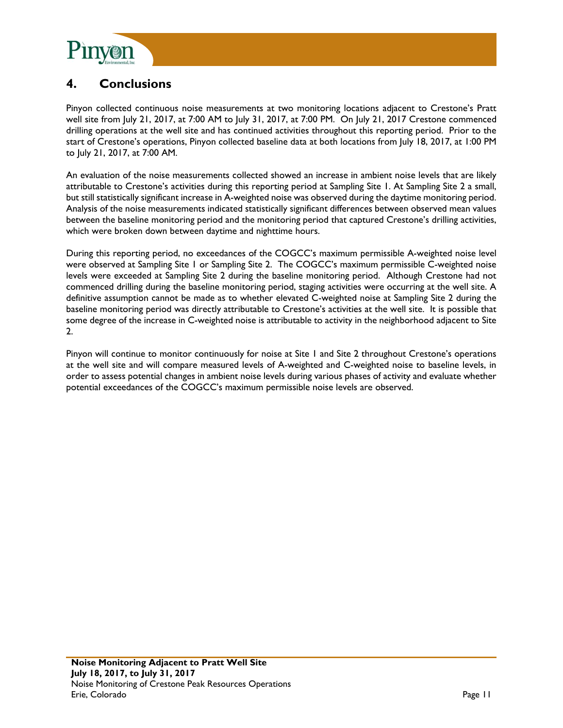

## **4. Conclusions**

Pinyon collected continuous noise measurements at two monitoring locations adjacent to Crestone's Pratt well site from July 21, 2017, at 7:00 AM to July 31, 2017, at 7:00 PM. On July 21, 2017 Crestone commenced drilling operations at the well site and has continued activities throughout this reporting period. Prior to the start of Crestone's operations, Pinyon collected baseline data at both locations from July 18, 2017, at 1:00 PM to July 21, 2017, at 7:00 AM.

An evaluation of the noise measurements collected showed an increase in ambient noise levels that are likely attributable to Crestone's activities during this reporting period at Sampling Site 1. At Sampling Site 2 a small, but still statistically significant increase in A-weighted noise was observed during the daytime monitoring period. Analysis of the noise measurements indicated statistically significant differences between observed mean values between the baseline monitoring period and the monitoring period that captured Crestone's drilling activities, which were broken down between daytime and nighttime hours.

During this reporting period, no exceedances of the COGCC's maximum permissible A-weighted noise level were observed at Sampling Site 1 or Sampling Site 2. The COGCC's maximum permissible C-weighted noise levels were exceeded at Sampling Site 2 during the baseline monitoring period. Although Crestone had not commenced drilling during the baseline monitoring period, staging activities were occurring at the well site. A definitive assumption cannot be made as to whether elevated C-weighted noise at Sampling Site 2 during the baseline monitoring period was directly attributable to Crestone's activities at the well site. It is possible that some degree of the increase in C-weighted noise is attributable to activity in the neighborhood adjacent to Site 2.

Pinyon will continue to monitor continuously for noise at Site 1 and Site 2 throughout Crestone's operations at the well site and will compare measured levels of A-weighted and C-weighted noise to baseline levels, in order to assess potential changes in ambient noise levels during various phases of activity and evaluate whether potential exceedances of the COGCC's maximum permissible noise levels are observed.